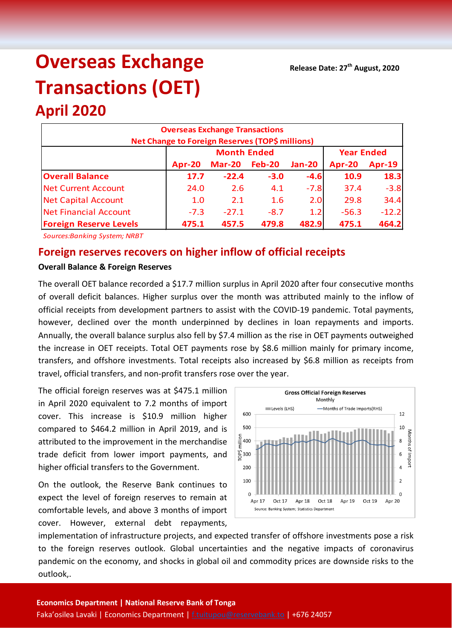# **Overseas Exchange Transactions (OET)**

## **April 2020**

| <b>Overseas Exchange Transactions</b><br><b>Net Change to Foreign Reserves (TOP\$ millions)</b> |        |                    |                   |               |         |               |  |  |
|-------------------------------------------------------------------------------------------------|--------|--------------------|-------------------|---------------|---------|---------------|--|--|
|                                                                                                 |        | <b>Month Ended</b> | <b>Year Ended</b> |               |         |               |  |  |
|                                                                                                 | Apr-20 | <b>Mar-20</b>      | <b>Feb-20</b>     | <b>Jan-20</b> | Apr-20  | <b>Apr-19</b> |  |  |
| <b>Overall Balance</b>                                                                          | 17.7   | $-22.4$            | $-3.0$            | $-4.6$        | 10.9    | 18.3          |  |  |
| <b>Net Current Account</b>                                                                      | 24.0   | 2.6                | 4.1               | $-7.8$        | 37.4    | $-3.8$        |  |  |
| <b>Net Capital Account</b>                                                                      | 1.0    | 2.1                | 1.6               | 2.0           | 29.8    | 34.4          |  |  |
| Net Financial Account                                                                           | $-7.3$ | $-27.1$            | $-8.7$            | 1.2           | $-56.3$ | $-12.2$       |  |  |
| <b>Foreign Reserve Levels</b>                                                                   | 475.1  | 457.5              | 479.8             | 482.9         | 475.1   | 464.2         |  |  |

*Sources:Banking System; NRBT*

### **Foreign reserves recovers on higher inflow of official receipts**

#### **Overall Balance & Foreign Reserves**

The overall OET balance recorded a \$17.7 million surplus in April 2020 after four consecutive months of overall deficit balances. Higher surplus over the month was attributed mainly to the inflow of official receipts from development partners to assist with the COVID-19 pandemic. Total payments, however, declined over the month underpinned by declines in loan repayments and imports. Annually, the overall balance surplus also fell by \$7.4 million as the rise in OET payments outweighed the increase in OET receipts. Total OET payments rose by \$8.6 million mainly for primary income, transfers, and offshore investments. Total receipts also increased by \$6.8 million as receipts from travel, official transfers, and non-profit transfers rose over the year.

The official foreign reserves was at \$475.1 million in April 2020 equivalent to 7.2 months of import cover. This increase is \$10.9 million higher compared to \$464.2 million in April 2019, and is attributed to the improvement in the merchandise trade deficit from lower import payments, and higher official transfers to the Government.

On the outlook, the Reserve Bank continues to expect the level of foreign reserves to remain at comfortable levels, and above 3 months of import cover. However, external debt repayments,



implementation of infrastructure projects, and expected transfer of offshore investments pose a risk to the foreign reserves outlook. Global uncertainties and the negative impacts of coronavirus pandemic on the economy, and shocks in global oil and commodity prices are downside risks to the outlook,.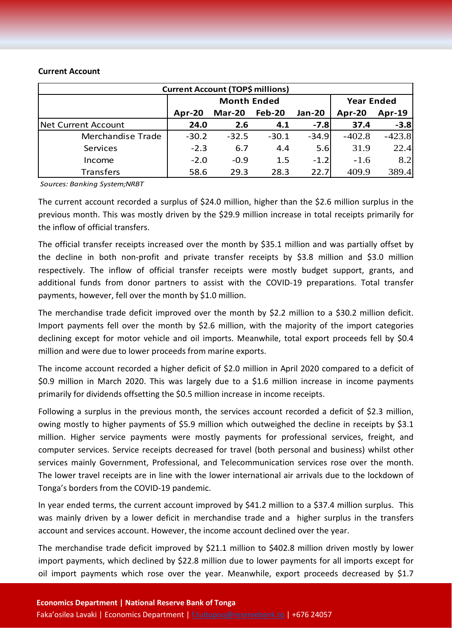#### **Current Account**

| <b>Current Account (TOP\$ millions)</b> |                    |               |         |               |                   |               |  |  |
|-----------------------------------------|--------------------|---------------|---------|---------------|-------------------|---------------|--|--|
|                                         | <b>Month Ended</b> |               |         |               | <b>Year Ended</b> |               |  |  |
|                                         | Apr-20             | <b>Mar-20</b> | Feb-20  | <b>Jan-20</b> | Apr-20            | <b>Apr-19</b> |  |  |
| Net Current Account                     | 24.0               | 2.6           | 4.1     | $-7.8$        | 37.4              | $-3.8$        |  |  |
| Merchandise Trade                       | $-30.2$            | $-32.5$       | $-30.1$ | $-34.9$       | $-402.8$          | $-423.8$      |  |  |
| Services                                | $-2.3$             | 6.7           | 4.4     | 5.6           | 31.9              | 22.4          |  |  |
| Income                                  | $-2.0$             | $-0.9$        | 1.5     | $-1.2$        | $-1.6$            | 8.2           |  |  |
| <b>Transfers</b>                        | 58.6               | 29.3          | 28.3    | 22.7          | 409.9             | 389.4         |  |  |

*Sources: Banking System;NRBT*

The current account recorded a surplus of \$24.0 million, higher than the \$2.6 million surplus in the previous month. This was mostly driven by the \$29.9 million increase in total receipts primarily for the inflow of official transfers.

The official transfer receipts increased over the month by \$35.1 million and was partially offset by the decline in both non-profit and private transfer receipts by \$3.8 million and \$3.0 million respectively. The inflow of official transfer receipts were mostly budget support, grants, and additional funds from donor partners to assist with the COVID-19 preparations. Total transfer payments, however, fell over the month by \$1.0 million.

The merchandise trade deficit improved over the month by \$2.2 million to a \$30.2 million deficit. Import payments fell over the month by \$2.6 million, with the majority of the import categories declining except for motor vehicle and oil imports. Meanwhile, total export proceeds fell by \$0.4 million and were due to lower proceeds from marine exports.

The income account recorded a higher deficit of \$2.0 million in April 2020 compared to a deficit of \$0.9 million in March 2020. This was largely due to a \$1.6 million increase in income payments primarily for dividends offsetting the \$0.5 million increase in income receipts.

Following a surplus in the previous month, the services account recorded a deficit of \$2.3 million, owing mostly to higher payments of \$5.9 million which outweighed the decline in receipts by \$3.1 million. Higher service payments were mostly payments for professional services, freight, and computer services. Service receipts decreased for travel (both personal and business) whilst other services mainly Government, Professional, and Telecommunication services rose over the month. The lower travel receipts are in line with the lower international air arrivals due to the lockdown of Tonga's borders from the COVID-19 pandemic.

In year ended terms, the current account improved by \$41.2 million to a \$37.4 million surplus. This was mainly driven by a lower deficit in merchandise trade and a higher surplus in the transfers account and services account. However, the income account declined over the year.

The merchandise trade deficit improved by \$21.1 million to \$402.8 million driven mostly by lower import payments, which declined by \$22.8 million due to lower payments for all imports except for oil import payments which rose over the year. Meanwhile, export proceeds decreased by \$1.7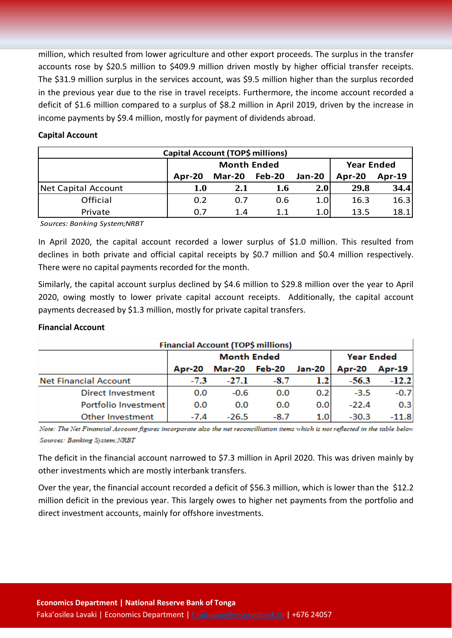million, which resulted from lower agriculture and other export proceeds. The surplus in the transfer accounts rose by \$20.5 million to \$409.9 million driven mostly by higher official transfer receipts. The \$31.9 million surplus in the services account, was \$9.5 million higher than the surplus recorded in the previous year due to the rise in travel receipts. Furthermore, the income account recorded a deficit of \$1.6 million compared to a surplus of \$8.2 million in April 2019, driven by the increase in income payments by \$9.4 million, mostly for payment of dividends abroad.

#### **Capital Account**

| Capital Account (TOP\$ millions) |        |                    |                   |               |        |          |  |  |
|----------------------------------|--------|--------------------|-------------------|---------------|--------|----------|--|--|
|                                  |        | <b>Month Ended</b> | <b>Year Ended</b> |               |        |          |  |  |
|                                  | Apr-20 | <b>Mar-20</b>      | Feb-20            | <b>Jan-20</b> | Apr-20 | $Apr-19$ |  |  |
| Net Capital Account              | 1.0    | 2.1                | 1.6               | 2.0           | 29.8   | 34.4     |  |  |
| Official                         | 0.2    | 0.7                | 0.6               | 1.0           | 16.3   | 16.3     |  |  |
| Private                          | 0.7    | 1.4                | 11                | 1.0           | 13.5   | 18.1     |  |  |

*Sources: Banking System;NRBT*

In April 2020, the capital account recorded a lower surplus of \$1.0 million. This resulted from declines in both private and official capital receipts by \$0.7 million and \$0.4 million respectively. There were no capital payments recorded for the month.

Similarly, the capital account surplus declined by \$4.6 million to \$29.8 million over the year to April 2020, owing mostly to lower private capital account receipts. Additionally, the capital account payments decreased by \$1.3 million, mostly for private capital transfers.

#### **Financial Account**

| <b>Financial Account (TOP\$ millions)</b> |        |                    |                   |        |               |         |  |  |
|-------------------------------------------|--------|--------------------|-------------------|--------|---------------|---------|--|--|
|                                           |        | <b>Month Ended</b> | <b>Year Ended</b> |        |               |         |  |  |
|                                           | Apr-20 | Mar-20 Feb-20      |                   | Jan-20 | <b>Apr-20</b> | Apr-19  |  |  |
| <b>Net Financial Account</b>              | $-7.3$ | $-27.1$            | $-8.7$            | 1.2    | $-56.3$       | $-12.2$ |  |  |
| <b>Direct Investment</b>                  | 0.0    | $-0.6$             | 0.0               | 0.2    | $-3.5$        | $-0.7$  |  |  |
| Portfolio Investment                      | 0.0    | 0.0                | 0.0               | 0.0    | $-22.4$       | 0.3     |  |  |
| <b>Other Investment</b>                   | $-7.4$ | $-26.5$            | $-8.7$            | 1.0    | $-30.3$       | $-11.8$ |  |  |

Note: The Net Financial Account figures incorporate also the net reconcilliation items which is not reflected in the table below Sources: Banking System; NRBT

The deficit in the financial account narrowed to \$7.3 million in April 2020. This was driven mainly by other investments which are mostly interbank transfers.

Over the year, the financial account recorded a deficit of \$56.3 million, which is lower than the \$12.2 million deficit in the previous year. This largely owes to higher net payments from the portfolio and direct investment accounts, mainly for offshore investments.